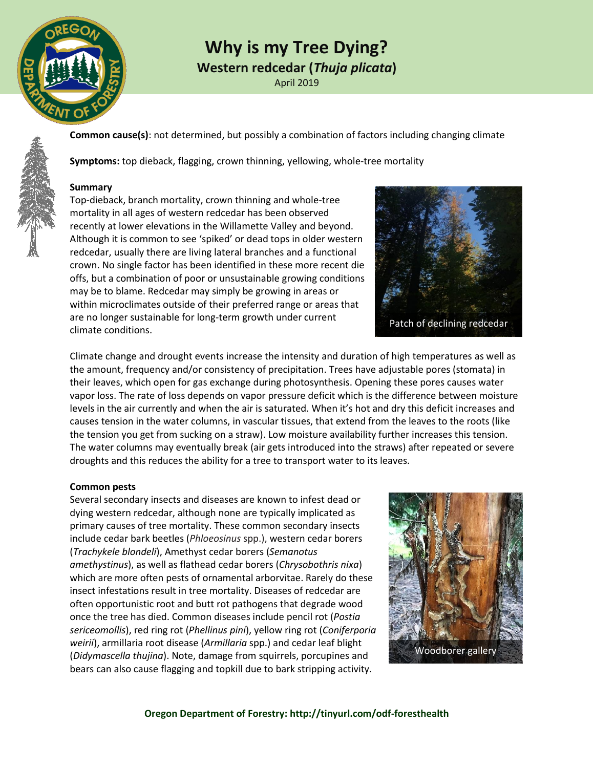

# **Why is my Tree Dying?**

**Western redcedar (***Thuja plicata***)**

April 2019

**Common cause(s)**: not determined, but possibly a combination of factors including changing climate

**Symptoms:** top dieback, flagging, crown thinning, yellowing, whole-tree mortality

### **Summary**

Top-dieback, branch mortality, crown thinning and whole-tree mortality in all ages of western redcedar has been observed recently at lower elevations in the Willamette Valley and beyond. Although it is common to see 'spiked' or dead tops in older western redcedar, usually there are living lateral branches and a functional crown. No single factor has been identified in these more recent die offs, but a combination of poor or unsustainable growing conditions may be to blame. Redcedar may simply be growing in areas or within microclimates outside of their preferred range or areas that are no longer sustainable for long-term growth under current climate conditions.

Climate change and drought events increase the intensity and duration of high temperatures as well as the amount, frequency and/or consistency of precipitation. Trees have adjustable pores (stomata) in their leaves, which open for gas exchange during photosynthesis. Opening these pores causes water vapor loss. The rate of loss depends on vapor pressure deficit which is the difference between moisture levels in the air currently and when the air is saturated. When it's hot and dry this deficit increases and causes tension in the water columns, in vascular tissues, that extend from the leaves to the roots (like the tension you get from sucking on a straw). Low moisture availability further increases this tension. The water columns may eventually break (air gets introduced into the straws) after repeated or severe droughts and this reduces the ability for a tree to transport water to its leaves.

### **Common pests**

Several secondary insects and diseases are known to infest dead or dying western redcedar, although none are typically implicated as primary causes of tree mortality. These common secondary insects include cedar bark beetles (*Phloeosinus* spp.), western cedar borers (*Trachykele blondeli*), Amethyst cedar borers (*Semanotus amethystinus*), as well as flathead cedar borers (*Chrysobothris nixa*) which are more often pests of ornamental arborvitae. Rarely do these insect infestations result in tree mortality. Diseases of redcedar are often opportunistic root and butt rot pathogens that degrade wood once the tree has died. Common diseases include pencil rot (*Postia sericeomollis*), red ring rot (*Phellinus pini*), yellow ring rot (*Coniferporia weirii*), armillaria root disease (*Armillaria* spp.) and cedar leaf blight (*Didymascella thujina*). Note, damage from squirrels, porcupines and bears can also cause flagging and topkill due to bark stripping activity.